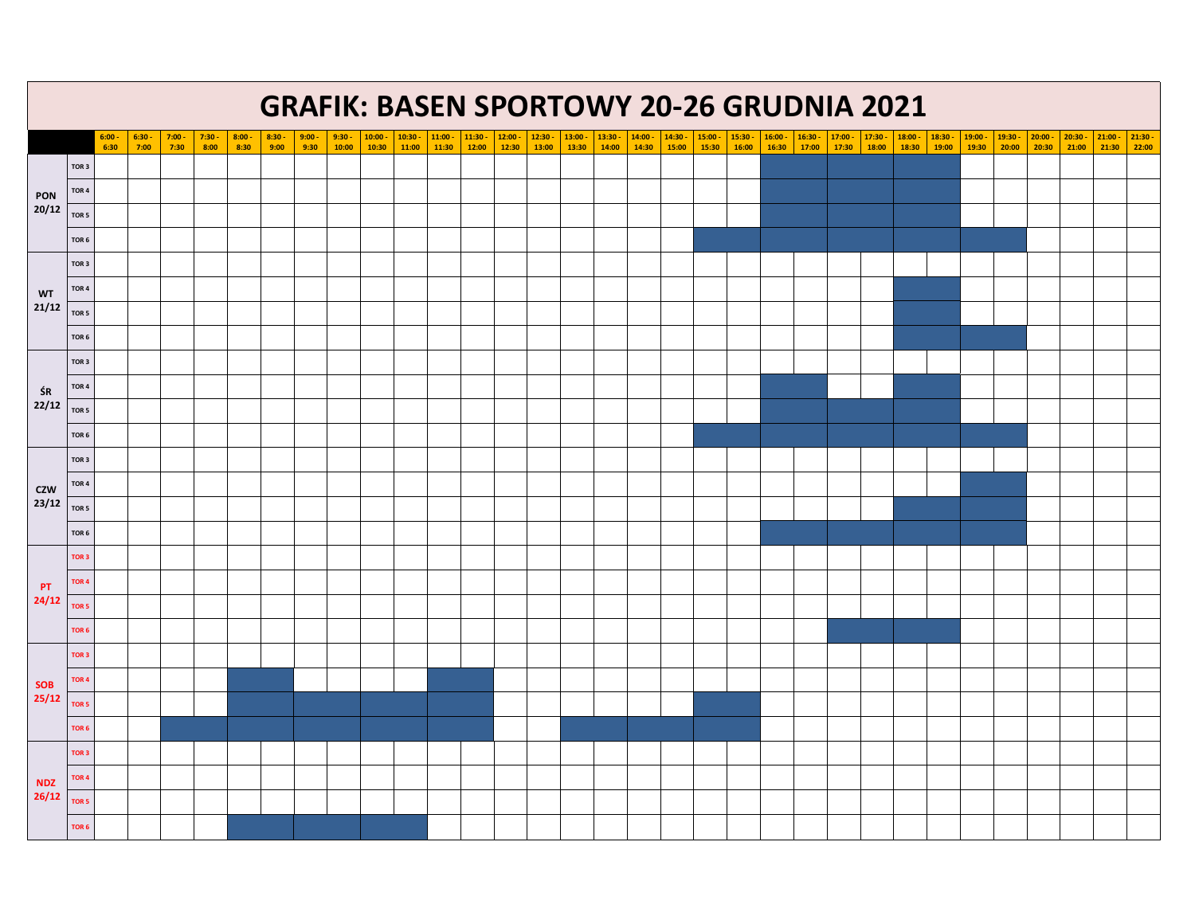